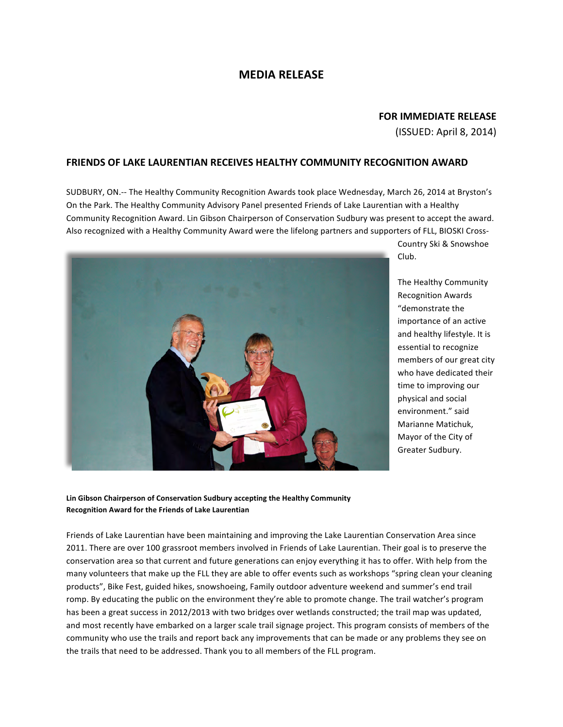## **MEDIA!RELEASE**

## **FOR IMMEDIATE RELEASE**

(ISSUED:!April!8,!2014)**!!!!!!!!!!!!!!!!!!!!!!!!!!!!!!!!!!!!!!!!!!!!!!!!!!!!!!!!!!!!!!**

## **FRIENDS OF LAKE LAURENTIAN RECEIVES HEALTHY COMMUNITY RECOGNITION AWARD**

SUDBURY, ON.-- The Healthy Community Recognition Awards took place Wednesday, March 26, 2014 at Bryston's On the Park. The Healthy Community Advisory Panel presented Friends of Lake Laurentian with a Healthy Community Recognition Award. Lin Gibson Chairperson of Conservation Sudbury was present to accept the award. Also recognized with a Healthy Community Award were the lifelong partners and supporters of FLL, BIOSKI Cross-



Country Ski & Snowshoe Club.

The Healthy Community Recognition!Awards! "demonstrate the importance of an active and healthy lifestyle. It is essential to recognize members of our great city who have dedicated their time to improving our physical and social environment." said Marianne Matichuk, Mayor of the City of Greater Sudbury.

Lin Gibson Chairperson of Conservation Sudbury accepting the Healthy Community **Recognition!Award!for!the!Friends!of!Lake!Laurentian**

Friends of Lake Laurentian have been maintaining and improving the Lake Laurentian Conservation Area since 2011. There are over 100 grassroot members involved in Friends of Lake Laurentian. Their goal is to preserve the conservation area so that current and future generations can enjoy everything it has to offer. With help from the many volunteers that make up the FLL they are able to offer events such as workshops "spring clean your cleaning products", Bike Fest, guided hikes, snowshoeing, Family outdoor adventure weekend and summer's end trail romp. By educating the public on the environment they're able to promote change. The trail watcher's program has been a great success in 2012/2013 with two bridges over wetlands constructed; the trail map was updated, and most recently have embarked on a larger scale trail signage project. This program consists of members of the community who use the trails and report back any improvements that can be made or any problems they see on the trails that need to be addressed. Thank you to all members of the FLL program.